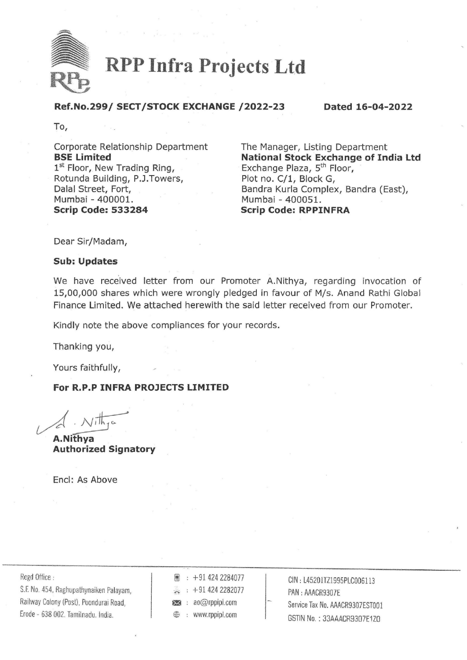

RPP Infra Projects Ltd

## Ref.No.299/ SECT/STOCK EXCHANGE /2022-23 Dated 16-04-2022

To,

Corporate Relationship Department The Manager, Listing Department  $1<sup>st</sup>$  Floor, New Trading Ring, Exchange Plaza,  $5<sup>th</sup>$  Floor, Rotunda Building, P.J.Towers, Plot no. C/1, Block G, Mumbai - 400001. Mumbai - 400051. Scrip Code: 533284 Scrip Code: RPPINFRA To,<br>
Corporate Relationship Department<br> **Rest Limited** View Trading Ring,<br>
In East of Mumbal -40001.<br>
Register Fort, Solid Strip Code: RPPINFRA<br>
Mumbal -400001.<br>
Scrip Code: 533284<br>
Mumbal -400051.<br>
Scrip Code: 533284<br>
Ne

BSE Limited **National Stock Exchange of India Ltd** Dalal Street, Fort, East Street, Fort, Bandra Kurla Complex, Bandra (East),

Dear Sir/Madam,

#### Sub: Updates

We have received letter from our Promoter A.Nithya, regarding invocation of 15,00,000 shares which were wrongly pledged in favour of M/s. Anand Rathi Global Finance Limited. We attached herewith the said letter received from our Promoter.

Kindly note the above compliances for your records.

Thanking you,

Yours faithfully,

### For R.P.P INFRA PROJECTS LIMITED

A.Nithya Authorized Signatory

Encl: As Above

Railway Colony (Post), Poondurai Road,  $\overline{\bullet}$  : ao@rppipl.com  $\overline{\bullet}$  Service Tax No. AAACR9307EST001 Erode - 638 002. Tamilnadu. India.

| ŗ. |  | $\div$ +91 424 2284077 |
|----|--|------------------------|
|    |  | +91 424 2282077        |